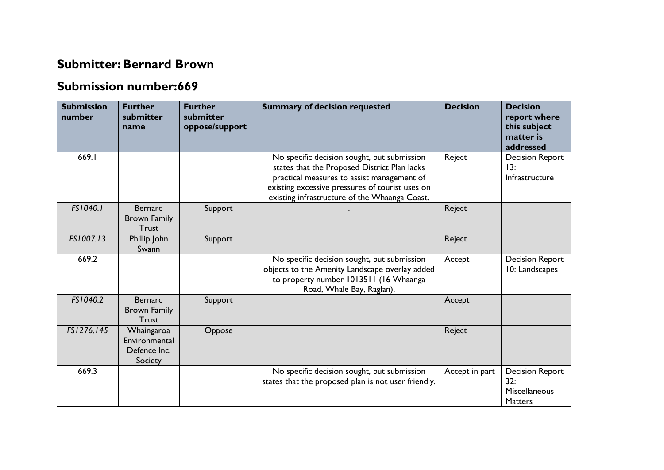## **Submitter: Bernard Brown**

## **Submission number:669**

| <b>Submission</b><br>number | <b>Further</b><br>submitter<br>name                    | <b>Further</b><br>submitter<br>oppose/support | <b>Summary of decision requested</b>                                                                                                                                                                                                          | <b>Decision</b> | <b>Decision</b><br>report where<br>this subject<br>matter is<br>addressed |
|-----------------------------|--------------------------------------------------------|-----------------------------------------------|-----------------------------------------------------------------------------------------------------------------------------------------------------------------------------------------------------------------------------------------------|-----------------|---------------------------------------------------------------------------|
| 669.1                       |                                                        |                                               | No specific decision sought, but submission<br>states that the Proposed District Plan lacks<br>practical measures to assist management of<br>existing excessive pressures of tourist uses on<br>existing infrastructure of the Whaanga Coast. | Reject          | <b>Decision Report</b><br>13:<br>Infrastructure                           |
| FS1040.1                    | <b>Bernard</b><br><b>Brown Family</b><br><b>Trust</b>  | Support                                       |                                                                                                                                                                                                                                               | Reject          |                                                                           |
| FS1007.13                   | Phillip John<br>Swann                                  | Support                                       |                                                                                                                                                                                                                                               | Reject          |                                                                           |
| 669.2                       |                                                        |                                               | No specific decision sought, but submission<br>objects to the Amenity Landscape overlay added<br>to property number 1013511 (16 Whaanga<br>Road, Whale Bay, Raglan).                                                                          | Accept          | <b>Decision Report</b><br>10: Landscapes                                  |
| FS1040.2                    | <b>Bernard</b><br><b>Brown Family</b><br><b>Trust</b>  | Support                                       |                                                                                                                                                                                                                                               | Accept          |                                                                           |
| FS1276.145                  | Whaingaroa<br>Environmental<br>Defence Inc.<br>Society | Oppose                                        |                                                                                                                                                                                                                                               | Reject          |                                                                           |
| 669.3                       |                                                        |                                               | No specific decision sought, but submission<br>states that the proposed plan is not user friendly.                                                                                                                                            | Accept in part  | <b>Decision Report</b><br>32:<br><b>Miscellaneous</b><br><b>Matters</b>   |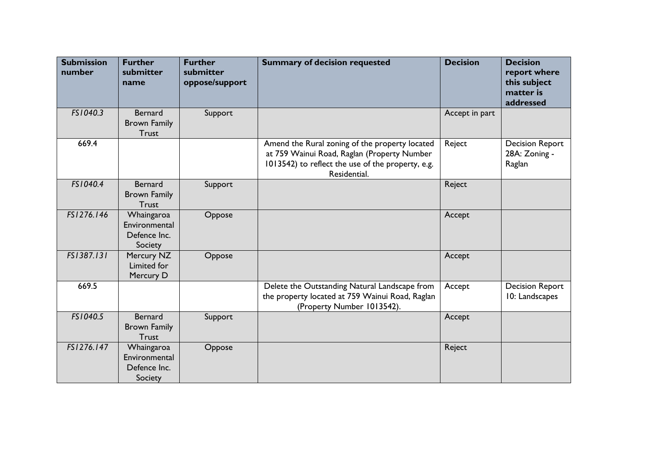| <b>Submission</b><br>number | <b>Further</b><br>submitter<br>name                    | <b>Further</b><br>submitter<br>oppose/support | <b>Summary of decision requested</b>                                                                                                                               | <b>Decision</b> | <b>Decision</b><br>report where<br>this subject<br>matter is<br>addressed |
|-----------------------------|--------------------------------------------------------|-----------------------------------------------|--------------------------------------------------------------------------------------------------------------------------------------------------------------------|-----------------|---------------------------------------------------------------------------|
| FS1040.3                    | <b>Bernard</b><br><b>Brown Family</b><br><b>Trust</b>  | Support                                       |                                                                                                                                                                    | Accept in part  |                                                                           |
| 669.4                       |                                                        |                                               | Amend the Rural zoning of the property located<br>at 759 Wainui Road, Raglan (Property Number<br>1013542) to reflect the use of the property, e.g.<br>Residential. | Reject          | <b>Decision Report</b><br>28A: Zoning -<br>Raglan                         |
| FS1040.4                    | <b>Bernard</b><br><b>Brown Family</b><br><b>Trust</b>  | Support                                       |                                                                                                                                                                    | Reject          |                                                                           |
| FS1276.146                  | Whaingaroa<br>Environmental<br>Defence Inc.<br>Society | Oppose                                        |                                                                                                                                                                    | Accept          |                                                                           |
| FS1387.131                  | Mercury NZ<br>Limited for<br>Mercury D                 | Oppose                                        |                                                                                                                                                                    | Accept          |                                                                           |
| 669.5                       |                                                        |                                               | Delete the Outstanding Natural Landscape from<br>the property located at 759 Wainui Road, Raglan<br>(Property Number 1013542).                                     | Accept          | <b>Decision Report</b><br>10: Landscapes                                  |
| FS1040.5                    | <b>Bernard</b><br><b>Brown Family</b><br><b>Trust</b>  | Support                                       |                                                                                                                                                                    | Accept          |                                                                           |
| FS1276.147                  | Whaingaroa<br>Environmental<br>Defence Inc.<br>Society | Oppose                                        |                                                                                                                                                                    | Reject          |                                                                           |